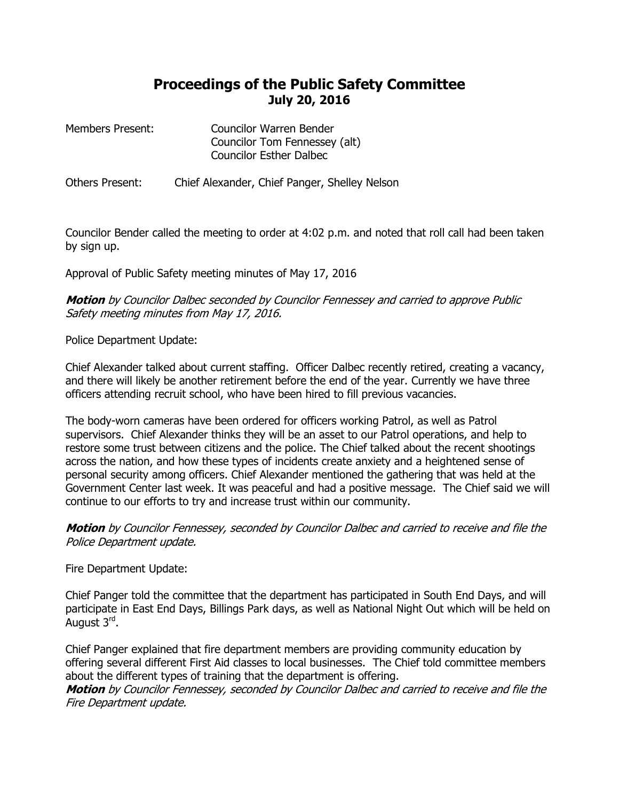## **Proceedings of the Public Safety Committee July 20, 2016**

| <b>Members Present:</b> | <b>Councilor Warren Bender</b> |
|-------------------------|--------------------------------|
|                         | Councilor Tom Fennessey (alt)  |
|                         | <b>Councilor Esther Dalbec</b> |

Others Present: Chief Alexander, Chief Panger, Shelley Nelson

Councilor Bender called the meeting to order at 4:02 p.m. and noted that roll call had been taken by sign up.

Approval of Public Safety meeting minutes of May 17, 2016

**Motion** by Councilor Dalbec seconded by Councilor Fennessey and carried to approve Public Safety meeting minutes from May 17, 2016.

Police Department Update:

Chief Alexander talked about current staffing. Officer Dalbec recently retired, creating a vacancy, and there will likely be another retirement before the end of the year. Currently we have three officers attending recruit school, who have been hired to fill previous vacancies.

The body-worn cameras have been ordered for officers working Patrol, as well as Patrol supervisors. Chief Alexander thinks they will be an asset to our Patrol operations, and help to restore some trust between citizens and the police. The Chief talked about the recent shootings across the nation, and how these types of incidents create anxiety and a heightened sense of personal security among officers. Chief Alexander mentioned the gathering that was held at the Government Center last week. It was peaceful and had a positive message. The Chief said we will continue to our efforts to try and increase trust within our community.

**Motion** by Councilor Fennessey, seconded by Councilor Dalbec and carried to receive and file the Police Department update.

Fire Department Update:

Chief Panger told the committee that the department has participated in South End Days, and will participate in East End Days, Billings Park days, as well as National Night Out which will be held on August 3<sup>rd</sup>.

Chief Panger explained that fire department members are providing community education by offering several different First Aid classes to local businesses. The Chief told committee members about the different types of training that the department is offering.

**Motion** by Councilor Fennessey, seconded by Councilor Dalbec and carried to receive and file the Fire Department update.